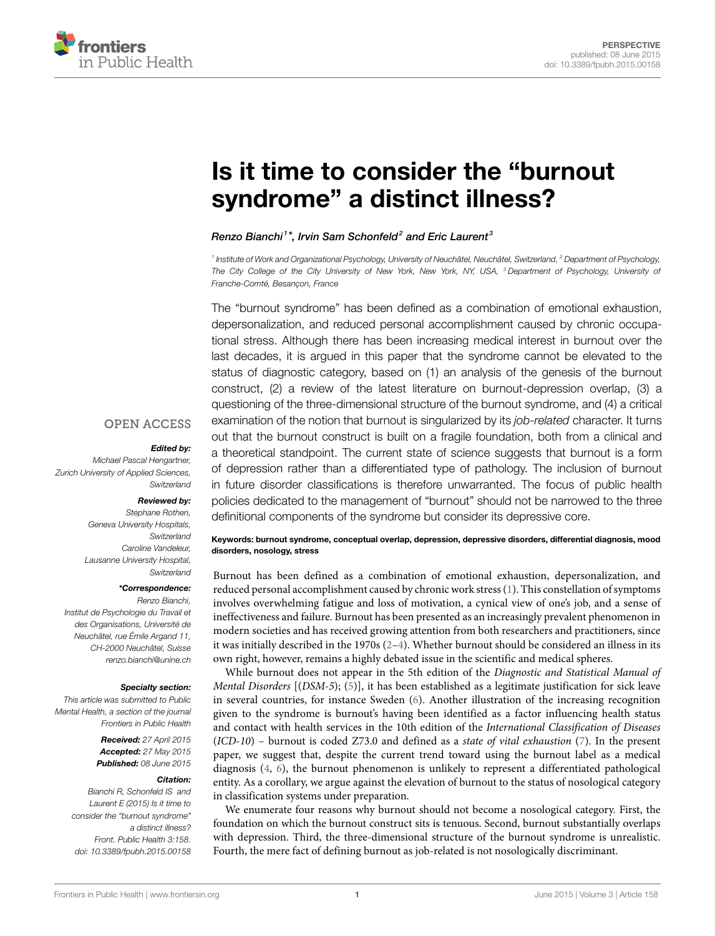

# **[Is it time to consider the "burnout](http://www.frontiersin.org/Journal/10.3389/fpubh.2015.00158/abstract) [syndrome" a distinct illness?](http://www.frontiersin.org/Journal/10.3389/fpubh.2015.00158/abstract)**

## *[Renzo Bianchi](http://loop.frontiersin.org/people/204088/overview) <sup>1</sup> \*, [Irvin Sam Schonfeld](http://loop.frontiersin.org/people/205184/overview)<sup>2</sup> and [Eric Laurent](http://loop.frontiersin.org/people/70795/overview) <sup>3</sup>*

*1 Institute of Work and Organizational Psychology, University of Neuchâtel, Neuchâtel, Switzerland, <sup>2</sup> Department of Psychology, The City College of the City University of New York, New York, NY, USA, <sup>3</sup> Department of Psychology, University of Franche-Comté, Besançon, France*

The "burnout syndrome" has been defined as a combination of emotional exhaustion, depersonalization, and reduced personal accomplishment caused by chronic occupational stress. Although there has been increasing medical interest in burnout over the last decades, it is argued in this paper that the syndrome cannot be elevated to the status of diagnostic category, based on (1) an analysis of the genesis of the burnout construct, (2) a review of the latest literature on burnout-depression overlap, (3) a questioning of the three-dimensional structure of the burnout syndrome, and (4) a critical examination of the notion that burnout is singularized by its *job-related* character. It turns out that the burnout construct is built on a fragile foundation, both from a clinical and a theoretical standpoint. The current state of science suggests that burnout is a form of depression rather than a differentiated type of pathology. The inclusion of burnout in future disorder classifications is therefore unwarranted. The focus of public health policies dedicated to the management of "burnout" should not be narrowed to the three definitional components of the syndrome but consider its depressive core.

## **OPEN ACCESS**

#### *Edited by:*

*Michael Pascal Hengartner, Zurich University of Applied Sciences, Switzerland*

## *Reviewed by:*

*Stephane Rothen, Geneva University Hospitals, Switzerland Caroline Vandeleur, Lausanne University Hospital, Switzerland*

#### *\*Correspondence:*

*Renzo Bianchi, Institut de Psychologie du Travail et des Organisations, Université de Neuchâtel, rue Émile Argand 11, CH-2000 Neuchâtel, Suisse [renzo.bianchi@unine.ch](mailto:renzo.bianchi@unine.ch)*

#### *Specialty section:*

*This article was submitted to Public Mental Health, a section of the journal Frontiers in Public Health*

> *Received: 27 April 2015 Accepted: 27 May 2015 Published: 08 June 2015*

#### *Citation:*

*Bianchi R, Schonfeld IS and Laurent E (2015) Is it time to consider the "burnout syndrome" a distinct illness? Front. Public Health 3:158. doi: [10.3389/fpubh.2015.00158](http://dx.doi.org/10.3389/fpubh.2015.00158)*

**Keywords: burnout syndrome, conceptual overlap, depression, depressive disorders, differential diagnosis, mood disorders, nosology, stress**

Burnout has been defined as a combination of emotional exhaustion, depersonalization, and reduced personal accomplishment caused by chronic work stress [\(1\)](#page-2-0). This constellation of symptoms involves overwhelming fatigue and loss of motivation, a cynical view of one's job, and a sense of ineffectiveness and failure. Burnout has been presented as an increasingly prevalent phenomenon in modern societies and has received growing attention from both researchers and practitioners, since it was initially described in the 1970s  $(2-4)$  $(2-4)$  $(2-4)$ . Whether burnout should be considered an illness in its own right, however, remains a highly debated issue in the scientific and medical spheres.

While burnout does not appear in the 5th edition of the *Diagnostic and Statistical Manual of Mental Disorders* [(*DSM-5*); [\(5\)](#page-2-3)], it has been established as a legitimate justification for sick leave in several countries, for instance Sweden [\(6\)](#page-2-4). Another illustration of the increasing recognition given to the syndrome is burnout's having been identified as a factor influencing health status and contact with health services in the 10th edition of the *International Classification of Diseases* (*ICD-10*) – burnout is coded Z73.0 and defined as a *state of vital exhaustion* ([7](#page-2-5)). In the present paper, we suggest that, despite the current trend toward using the burnout label as a medical diagnosis [\(4,](#page-2-2) [6\)](#page-2-4), the burnout phenomenon is unlikely to represent a differentiated pathological entity. As a corollary, we argue against the elevation of burnout to the status of nosological category in classification systems under preparation.

We enumerate four reasons why burnout should not become a nosological category. First, the foundation on which the burnout construct sits is tenuous. Second, burnout substantially overlaps with depression. Third, the three-dimensional structure of the burnout syndrome is unrealistic. Fourth, the mere fact of defining burnout as job-related is not nosologically discriminant.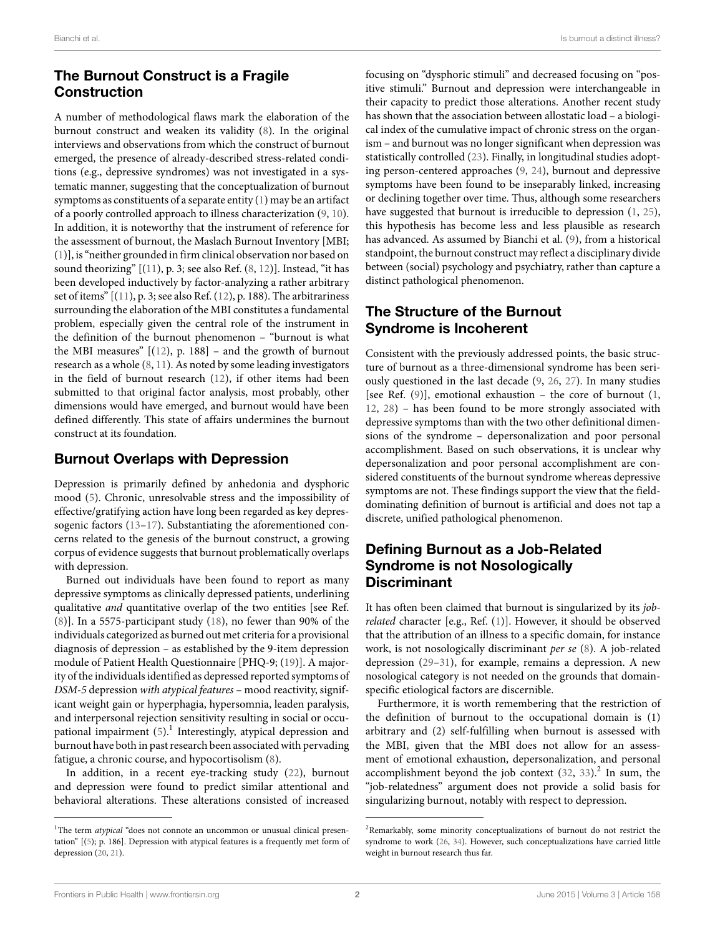# **The Burnout Construct is a Fragile Construction**

A number of methodological flaws mark the elaboration of the burnout construct and weaken its validity [\(8\)](#page-2-6). In the original interviews and observations from which the construct of burnout emerged, the presence of already-described stress-related conditions (e.g., depressive syndromes) was not investigated in a systematic manner, suggesting that the conceptualization of burnout symptoms as constituents of a separate entity([1](#page-2-0)) may be an artifact of a poorly controlled approach to illness characterization([9](#page-2-7), [10](#page-2-8)). In addition, it is noteworthy that the instrument of reference for the assessment of burnout, the Maslach Burnout Inventory [MBI; [\(1\)](#page-2-0)], is "neither grounded in firm clinical observation nor based on sound theorizing" [([11\)](#page-2-9), p. 3; see also Ref.([8](#page-2-6), [12\)](#page-2-10)]. Instead, "it has been developed inductively by factor-analyzing a rather arbitrary set of items"  $[(11), p. 3;$  $[(11), p. 3;$  $[(11), p. 3;$  see also Ref.  $(12), p. 188$ ). The arbitrariness surrounding the elaboration of the MBI constitutes a fundamental problem, especially given the central role of the instrument in the definition of the burnout phenomenon – "burnout is what the MBI measures"  $[(12)$  $[(12)$ , p. 188] – and the growth of burnout research as a whole [\(8,](#page-2-6) [11\)](#page-2-9). As noted by some leading investigators in the field of burnout research [\(12\)](#page-2-10), if other items had been submitted to that original factor analysis, most probably, other dimensions would have emerged, and burnout would have been defined differently. This state of affairs undermines the burnout construct at its foundation.

## **Burnout Overlaps with Depression**

Depression is primarily defined by anhedonia and dysphoric mood [\(5\)](#page-2-3). Chronic, unresolvable stress and the impossibility of effective/gratifying action have long been regarded as key depressogenic factors([13](#page-2-11)–[17](#page-2-12)). Substantiating the aforementioned concerns related to the genesis of the burnout construct, a growing corpus of evidence suggests that burnout problematically overlaps with depression.

Burned out individuals have been found to report as many depressive symptoms as clinically depressed patients, underlining qualitative *and* quantitative overlap of the two entities [see Ref. [\(8\)](#page-2-6)]. In a 5575-participant study [\(18](#page-2-13)), no fewer than 90% of the individuals categorized as burned out met criteria for a provisional diagnosis of depression – as established by the 9-item depression module of Patient Health Questionnaire [PHQ-9;([19\)](#page-2-14)]. A majority of the individuals identified as depressed reported symptoms of *DSM-5* depression *with atypical features* – mood reactivity, significant weight gain or hyperphagia, hypersomnia, leaden paralysis, and interpersonal rejection sensitivity resulting in social or occu-pationalimpairment ([5](#page-2-3)).<sup>[1](#page-1-0)</sup> Interestingly, atypical depression and burnout have both in past research been associated with pervading fatigue, a chronic course, and hypocortisolism([8](#page-2-6)).

In addition, in a recent eye-tracking study [\(22](#page-2-15)), burnout and depression were found to predict similar attentional and behavioral alterations. These alterations consisted of increased

focusing on "dysphoric stimuli" and decreased focusing on "positive stimuli." Burnout and depression were interchangeable in their capacity to predict those alterations. Another recent study has shown that the association between allostatic load – a biological index of the cumulative impact of chronic stress on the organism – and burnout was no longer significant when depression was statistically controlled([23\)](#page-2-18). Finally, in longitudinal studies adopting person-centered approaches [\(9,](#page-2-7) [24\)](#page-2-19), burnout and depressive symptoms have been found to be inseparably linked, increasing or declining together over time. Thus, although some researchers have suggested that burnout is irreducible to depression [\(1,](#page-2-0) [25\)](#page-2-20), this hypothesis has become less and less plausible as research has advanced. As assumed by Bianchi et al.([9](#page-2-7)), from a historical standpoint, the burnout construct may reflect a disciplinary divide between (social) psychology and psychiatry, rather than capture a distinct pathological phenomenon.

# **The Structure of the Burnout Syndrome is Incoherent**

Consistent with the previously addressed points, the basic structure of burnout as a three-dimensional syndrome has been seriously questioned in the last decade([9](#page-2-7), [26,](#page-2-21) [27\)](#page-2-22). In many studies [seeRef.  $(9)$ ], emotional exhaustion – the core of burnout  $(1, 1)$  $(1, 1)$  $(1, 1)$ [12,](#page-2-10) [28\)](#page-2-23) – has been found to be more strongly associated with depressive symptoms than with the two other definitional dimensions of the syndrome – depersonalization and poor personal accomplishment. Based on such observations, it is unclear why depersonalization and poor personal accomplishment are considered constituents of the burnout syndrome whereas depressive symptoms are not. These findings support the view that the fielddominating definition of burnout is artificial and does not tap a discrete, unified pathological phenomenon.

## **Defining Burnout as a Job-Related Syndrome is not Nosologically Discriminant**

It has often been claimed that burnout is singularized by its *jobrelated*character [e.g., Ref. ([1](#page-2-0))]. However, it should be observed that the attribution of an illness to a specific domain, for instance work, is not nosologically discriminant *per se* ([8](#page-2-6)). A job-related depression [\(29](#page-2-24)[–31](#page-2-25)), for example, remains a depression. A new nosological category is not needed on the grounds that domainspecific etiological factors are discernible.

Furthermore, it is worth remembering that the restriction of the definition of burnout to the occupational domain is (1) arbitrary and (2) self-fulfilling when burnout is assessed with the MBI, given that the MBI does not allow for an assessment of emotional exhaustion, depersonalization, and personal accomplishment beyond the job context  $(32, 33)$  $(32, 33)$ .<sup>[2](#page-1-1)</sup> In sum, the "job-relatedness" argument does not provide a solid basis for singularizing burnout, notably with respect to depression.

<span id="page-1-0"></span><sup>&</sup>lt;sup>1</sup>The term *atypical* "does not connote an uncommon or unusual clinical presentation" [[\(5\)](#page-2-3); p. 186]. Depression with atypical features is a frequently met form of depression [\(20,](#page-2-16) [21](#page-2-17)).

<span id="page-1-1"></span><sup>2</sup>Remarkably, some minority conceptualizations of burnout do not restrict the syndrome to work [\(26](#page-2-21), [34\)](#page-2-28). However, such conceptualizations have carried little weight in burnout research thus far.